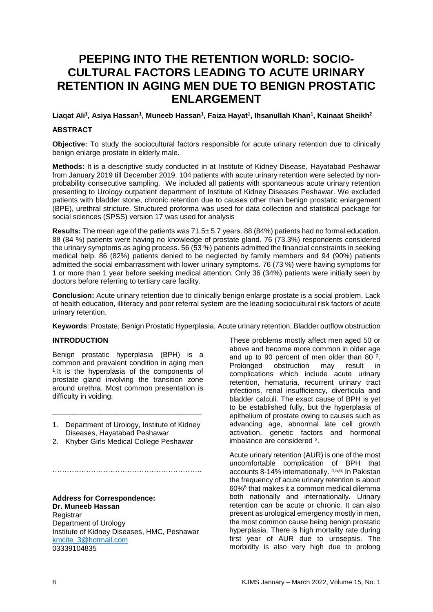# **PEEPING INTO THE RETENTION WORLD: SOCIO-CULTURAL FACTORS LEADING TO ACUTE URINARY RETENTION IN AGING MEN DUE TO BENIGN PROSTATIC ENLARGEMENT**

**Liaqat Ali<sup>1</sup> , Asiya Hassan<sup>1</sup> , Muneeb Hassan<sup>1</sup> , Faiza Hayat<sup>1</sup> , Ihsanullah Khan<sup>1</sup> , Kainaat Sheikh<sup>2</sup>**

## **ABSTRACT**

**Objective:** To study the sociocultural factors responsible for acute urinary retention due to clinically benign enlarge prostate in elderly male.

**Methods:** It is a descriptive study conducted in at Institute of Kidney Disease, Hayatabad Peshawar from January 2019 till December 2019. 104 patients with acute urinary retention were selected by nonprobability consecutive sampling. We included all patients with spontaneous acute urinary retention presenting to Urology outpatient department of Institute of Kidney Diseases Peshawar. We excluded patients with bladder stone, chronic retention due to causes other than benign prostatic enlargement (BPE), urethral stricture. Structured proforma was used for data collection and statistical package for social sciences (SPSS) version 17 was used for analysis

**Results:** The mean age of the patients was 71.5± 5.7 years. 88 (84%) patients had no formal education. 88 (84 %) patients were having no knowledge of prostate gland. 76 (73.3%) respondents considered the urinary symptoms as aging process. 56 (53 %) patients admitted the financial constraints in seeking medical help. 86 (82%) patients denied to be neglected by family members and 94 (90%) patients admitted the social embarrassment with lower urinary symptoms. 76 (73 %) were having symptoms for 1 or more than 1 year before seeking medical attention. Only 36 (34%) patients were initially seen by doctors before referring to tertiary care facility.

**Conclusion:** Acute urinary retention due to clinically benign enlarge prostate is a social problem. Lack of health education, illiteracy and poor referral system are the leading sociocultural risk factors of acute urinary retention.

**Keywords**: Prostate, Benign Prostatic Hyperplasia, Acute urinary retention, Bladder outflow obstruction

## **INTRODUCTION**

Benign prostatic hyperplasia (BPH) is a common and prevalent condition in aging men 1 .It is the hyperplasia of the components of prostate gland involving the transition zone around urethra. Most common presentation is difficulty in voiding.

1. Department of Urology, Institute of Kidney Diseases, Hayatabad Peshawar

……………………………………………………………

\_\_\_\_\_\_\_\_\_\_\_\_\_\_\_\_\_\_\_\_\_\_\_\_\_\_\_\_\_\_\_\_\_\_\_\_\_

2. Khyber Girls Medical College Peshawar

**Address for Correspondence: Dr. Muneeb Hassan Registrar** Department of Urology Institute of Kidney Diseases, HMC, Peshawar [kmcite\\_3@hotmail.com](mailto:kmcite_3@hotmail.com) 03339104835

These problems mostly affect men aged 50 or above and become more common in older age and up to 90 percent of men older than 80 $2$ . Prolonged obstruction may result in complications which include acute urinary retention, hematuria, recurrent urinary tract infections, renal insufficiency, diverticula and bladder calculi. The exact cause of BPH is yet to be established fully, but the hyperplasia of epithelium of prostate owing to causes such as advancing age, abnormal late cell growth activation, genetic factors and hormonal imbalance are considered <sup>3</sup>.

Acute urinary retention (AUR) is one of the most uncomfortable complication of BPH that accounts 8-14% internationally. 4,5,6, In Pakistan the frequency of acute urinary retention is about 60%<sup>6</sup> that makes it a common medical dilemma both nationally and internationally. Urinary retention can be acute or chronic. It can also present as urological emergency mostly in men, the most common cause being benign prostatic hyperplasia. There is high mortality rate during first year of AUR due to urosepsis. The morbidity is also very high due to prolong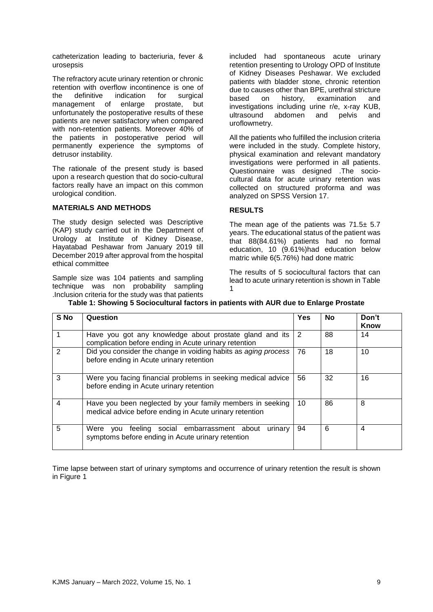catheterization leading to bacteriuria, fever & urosepsis

The refractory acute urinary retention or chronic retention with overflow incontinence is one of the definitive indication for surgical management of enlarge prostate, but unfortunately the postoperative results of these patients are never satisfactory when compared with non-retention patients. Moreover 40% of the patients in postoperative period will permanently experience the symptoms of detrusor instability.

The rationale of the present study is based upon a research question that do socio-cultural factors really have an impact on this common urological condition.

## **MATERIALS AND METHODS**

The study design selected was Descriptive (KAP) study carried out in the Department of Urology at Institute of Kidney Disease, Hayatabad Peshawar from January 2019 till December 2019 after approval from the hospital ethical committee

Sample size was 104 patients and sampling technique was non probability sampling .Inclusion criteria for the study was that patients

included had spontaneous acute urinary retention presenting to Urology OPD of Institute of Kidney Diseases Peshawar. We excluded patients with bladder stone, chronic retention due to causes other than BPE, urethral stricture based on history, examination and investigations including urine r/e, x-ray KUB, ultrasound abdomen and pelvis and uroflowmetry.

All the patients who fulfilled the inclusion criteria were included in the study. Complete history, physical examination and relevant mandatory investigations were performed in all patients. Questionnaire was designed .The sociocultural data for acute urinary retention was collected on structured proforma and was analyzed on SPSS Version 17.

#### **RESULTS**

The mean age of the patients was  $71.5 \pm 5.7$ years. The educational status of the patient was that 88(84.61%) patients had no formal education, 10 (9.61%)had education below matric while 6(5.76%) had done matric

The results of 5 sociocultural factors that can lead to acute urinary retention is shown in Table 1

| S No | Question                                                                                                             | Yes | No | Don't<br>Know |
|------|----------------------------------------------------------------------------------------------------------------------|-----|----|---------------|
|      | Have you got any knowledge about prostate gland and its<br>complication before ending in Acute urinary retention     | 2   | 88 | 14            |
|      | Did you consider the change in voiding habits as aging process<br>before ending in Acute urinary retention           | 76  | 18 | 10            |
| 3    | Were you facing financial problems in seeking medical advice<br>before ending in Acute urinary retention             | 56  | 32 | 16            |
| 4    | Have you been neglected by your family members in seeking<br>medical advice before ending in Acute urinary retention | 10  | 86 | 8             |
| 5    | feeling social embarrassment about<br>Were<br>urinary<br>vou<br>symptoms before ending in Acute urinary retention    | 94  | 6  | 4             |

# **Table 1: Showing 5 Sociocultural factors in patients with AUR due to Enlarge Prostate**

Time lapse between start of urinary symptoms and occurrence of urinary retention the result is shown in Figure 1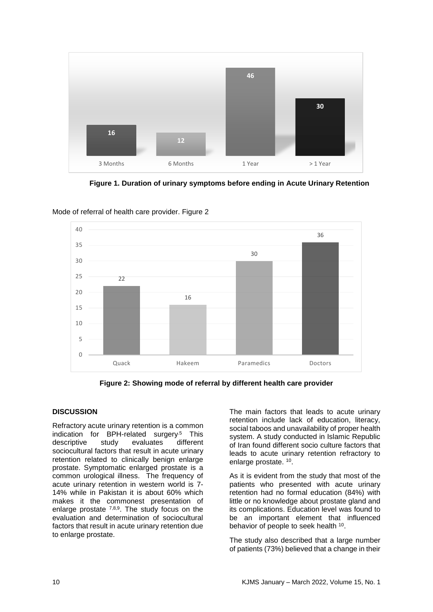

**Figure 1. Duration of urinary symptoms before ending in Acute Urinary Retention**



Mode of referral of health care provider. Figure 2

**Figure 2: Showing mode of referral by different health care provider**

# **DISCUSSION**

Refractory acute urinary retention is a common indication for BPH-related surgery<sup>5</sup> This descriptive study evaluates different sociocultural factors that result in acute urinary retention related to clinically benign enlarge prostate. Symptomatic enlarged prostate is a common urological illness. The frequency of acute urinary retention in western world is 7- 14% while in Pakistan it is about 60% which makes it the commonest presentation of enlarge prostate 7,8,9. The study focus on the evaluation and determination of sociocultural factors that result in acute urinary retention due to enlarge prostate.

The main factors that leads to acute urinary retention include lack of education, literacy, social taboos and unavailability of proper health system. A study conducted in Islamic Republic of Iran found different socio culture factors that leads to acute urinary retention refractory to enlarge prostate. <sup>10</sup>.

As it is evident from the study that most of the patients who presented with acute urinary retention had no formal education (84%) with little or no knowledge about prostate gland and its complications. Education level was found to be an important element that influenced behavior of people to seek health <sup>10</sup>.

The study also described that a large number of patients (73%) believed that a change in their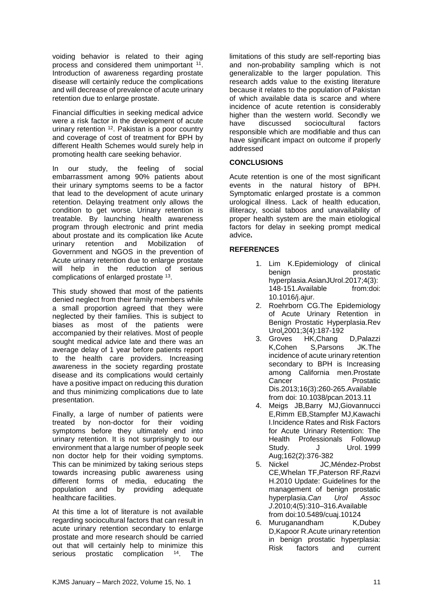voiding behavior is related to their aging process and considered them unimportant <sup>11</sup>. Introduction of awareness regarding prostate disease will certainly reduce the complications and will decrease of prevalence of acute urinary retention due to enlarge prostate.

Financial difficulties in seeking medical advice were a risk factor in the development of acute urinary retention <sup>12</sup>. Pakistan is a poor country and coverage of cost of treatment for BPH by different Health Schemes would surely help in promoting health care seeking behavior.

In our study, the feeling of social embarrassment among 90% patients about their urinary symptoms seems to be a factor that lead to the development of acute urinary retention. Delaying treatment only allows the condition to get worse. Urinary retention is treatable. By launching health awareness program through electronic and print media about prostate and its complication like Acute urinary retention and Mobilization of Government and NGOS in the prevention of Acute urinary retention due to enlarge prostate will help in the reduction of serious complications of enlarged prostate <sup>13</sup>.

This study showed that most of the patients denied neglect from their family members while a small proportion agreed that they were neglected by their families. This is subject to biases as most of the patients were accompanied by their relatives. Most of people sought medical advice late and there was an average delay of 1 year before patients report to the health care providers. Increasing awareness in the society regarding prostate disease and its complications would certainly have a positive impact on reducing this duration and thus minimizing complications due to late presentation.

Finally, a large of number of patients were treated by non-doctor for their voiding symptoms before they ultimately end into urinary retention. It is not surprisingly to our environment that a large number of people seek non doctor help for their voiding symptoms. This can be minimized by taking serious steps towards increasing public awareness using different forms of media, educating the population and by providing adequate healthcare facilities.

At this time a lot of literature is not available regarding sociocultural factors that can result in acute urinary retention secondary to enlarge prostate and more research should be carried out that will certainly help to minimize this serious prostatic complication <sup>14</sup>. The

limitations of this study are self-reporting bias and non-probability sampling which is not generalizable to the larger population. This research adds value to the existing literature because it relates to the population of Pakistan of which available data is scarce and where incidence of acute retention is considerably higher than the western world. Secondly we<br>have discussed sociocultural factors have discussed sociocultural factors responsible which are modifiable and thus can have significant impact on outcome if properly addressed

## **CONCLUSIONS**

Acute retention is one of the most significant events in the natural history of BPH. Symptomatic enlarged prostate is a common urological illness. Lack of health education, illiteracy, social taboos and unavailability of proper health system are the main etiological factors for delay in seeking prompt medical advice**.**

# **REFERENCES**

- 1. Lim K.Epidemiology of clinical benign prostatic hyperplasia[.AsianJUrol.](https://www.ncbi.nlm.nih.gov/pubmed/29264223)2017;4(3): 148-151.Available from:doi: 10.1016/j.ajur.
- 2. Roehrborn CG.The Epidemiology of Acute Urinary Retention in Benign Prostatic Hyperplasia[.Rev](https://www.ncbi.nlm.nih.gov/pubmed/16985717)  [Urol.2](https://www.ncbi.nlm.nih.gov/pubmed/16985717)001;3(4):187-192
- 3. [Groves HK,](https://www.ncbi.nlm.nih.gov/pubmed/?term=Groves%20HK%5BAuthor%5D&cauthor=true&cauthor_uid=23648398)[Chang D,](https://www.ncbi.nlm.nih.gov/pubmed/?term=Chang%20D%5BAuthor%5D&cauthor=true&cauthor_uid=23648398)[Palazzi](https://www.ncbi.nlm.nih.gov/pubmed/?term=Palazzi%20K%5BAuthor%5D&cauthor=true&cauthor_uid=23648398)  [K,](https://www.ncbi.nlm.nih.gov/pubmed/?term=Palazzi%20K%5BAuthor%5D&cauthor=true&cauthor_uid=23648398)[Cohen S](https://www.ncbi.nlm.nih.gov/pubmed/?term=Cohen%20S%5BAuthor%5D&cauthor=true&cauthor_uid=23648398)[,Parsons JK.](https://www.ncbi.nlm.nih.gov/pubmed/?term=Parsons%20JK%5BAuthor%5D&cauthor=true&cauthor_uid=23648398)The incidence of acute urinary retention secondary to BPH is Increasing among California men[.Prostate](https://www.ncbi.nlm.nih.gov/pubmed/23648398)  Cancer Prostatic [Dis.2](https://www.ncbi.nlm.nih.gov/pubmed/23648398)013;16(3):260-265.Available from doi: 10.1038/pcan.2013.11
- 4. [Meigs](https://www.ncbi.nlm.nih.gov/pubmed/?term=Meigs%20JB%5BAuthor%5D&cauthor=true&cauthor_uid=10411042) JB[,Barry MJ,](https://www.ncbi.nlm.nih.gov/pubmed/?term=Barry%20MJ%5BAuthor%5D&cauthor=true&cauthor_uid=10411042)[Giovannucci](https://www.ncbi.nlm.nih.gov/pubmed/?term=Giovannucci%20E%5BAuthor%5D&cauthor=true&cauthor_uid=10411042)  [E,](https://www.ncbi.nlm.nih.gov/pubmed/?term=Giovannucci%20E%5BAuthor%5D&cauthor=true&cauthor_uid=10411042)[Rimm EB,](https://www.ncbi.nlm.nih.gov/pubmed/?term=Rimm%20EB%5BAuthor%5D&cauthor=true&cauthor_uid=10411042)[Stampfer MJ](https://www.ncbi.nlm.nih.gov/pubmed/?term=Stampfer%20MJ%5BAuthor%5D&cauthor=true&cauthor_uid=10411042)[,Kawachi](https://www.ncbi.nlm.nih.gov/pubmed/?term=Kawachi%20I%5BAuthor%5D&cauthor=true&cauthor_uid=10411042)  [I.](https://www.ncbi.nlm.nih.gov/pubmed/?term=Kawachi%20I%5BAuthor%5D&cauthor=true&cauthor_uid=10411042)Incidence Rates and Risk Factors for Acute Urinary Retention: The Health Professionals Followup Study. [J Urol.](https://www.ncbi.nlm.nih.gov/pubmed/10411042) 1999 Aug;162(2):376-382
- 5. Nickel JC,Méndez-Probst CE,Whelan TF,Paterson RF,Razvi H.2010 Update: Guidelines for the management of benign prostatic hyperplasia.*Can Urol Assoc J*.2010;4(5):310–316.Available from doi:10.5489/cuaj.10124
- 6. Muruganandham K,Dubey D,Kapoor R.Acute urinary retention in benign prostatic hyperplasia: Risk factors and current